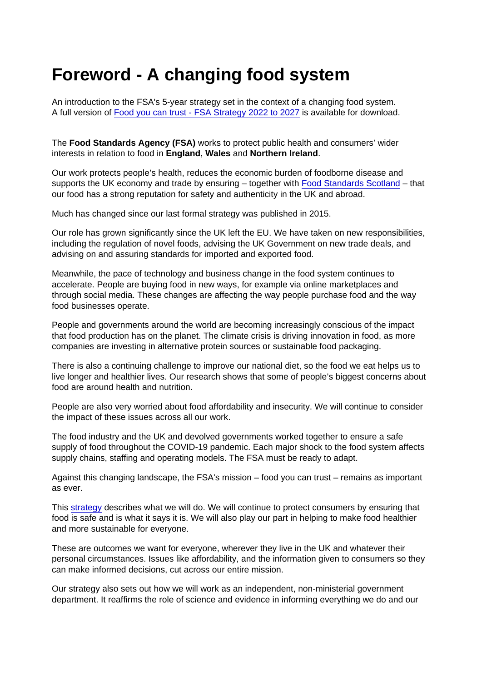## Foreword - A changing food system

An introduction to the FSA's 5-year strategy set in the context of a changing food system. A full version of [Food you can trust - FSA Strategy 2022 to 2027](https://www.food.gov.uk/document/food-you-can-trust-fsa-strategy-2022-2027) is available for download.

The Food Standards Agency (FSA) works to protect public health and consumers' wider interests in relation to food in England , Wales and Northern Ireland .

Our work protects people's health, reduces the economic burden of foodborne disease and supports the UK economy and trade by ensuring – together with [Food Standards Scotland](https://www.foodstandards.gov.scot/) – that our food has a strong reputation for safety and authenticity in the UK and abroad.

Much has changed since our last formal strategy was published in 2015.

Our role has grown significantly since the UK left the EU. We have taken on new responsibilities, including the regulation of novel foods, advising the UK Government on new trade deals, and advising on and assuring standards for imported and exported food.

Meanwhile, the pace of technology and business change in the food system continues to accelerate. People are buying food in new ways, for example via online marketplaces and through social media. These changes are affecting the way people purchase food and the way food businesses operate.

People and governments around the world are becoming increasingly conscious of the impact that food production has on the planet. The climate crisis is driving innovation in food, as more companies are investing in alternative protein sources or sustainable food packaging.

There is also a continuing challenge to improve our national diet, so the food we eat helps us to live longer and healthier lives. Our research shows that some of people's biggest concerns about food are around health and nutrition.

People are also very worried about food affordability and insecurity. We will continue to consider the impact of these issues across all our work.

The food industry and the UK and devolved governments worked together to ensure a safe supply of food throughout the COVID-19 pandemic. Each major shock to the food system affects supply chains, staffing and operating models. The FSA must be ready to adapt.

Against this changing landscape, the FSA's mission – food you can trust – remains as important as ever.

This [strategy](https://www.food.gov.uk/about-us/our-strategy) describes what we will do. We will continue to protect consumers by ensuring that food is safe and is what it says it is. We will also play our part in helping to make food healthier and more sustainable for everyone.

These are outcomes we want for everyone, wherever they live in the UK and whatever their personal circumstances. Issues like affordability, and the information given to consumers so they can make informed decisions, cut across our entire mission.

Our strategy also sets out how we will work as an independent, non-ministerial government department. It reaffirms the role of science and evidence in informing everything we do and our